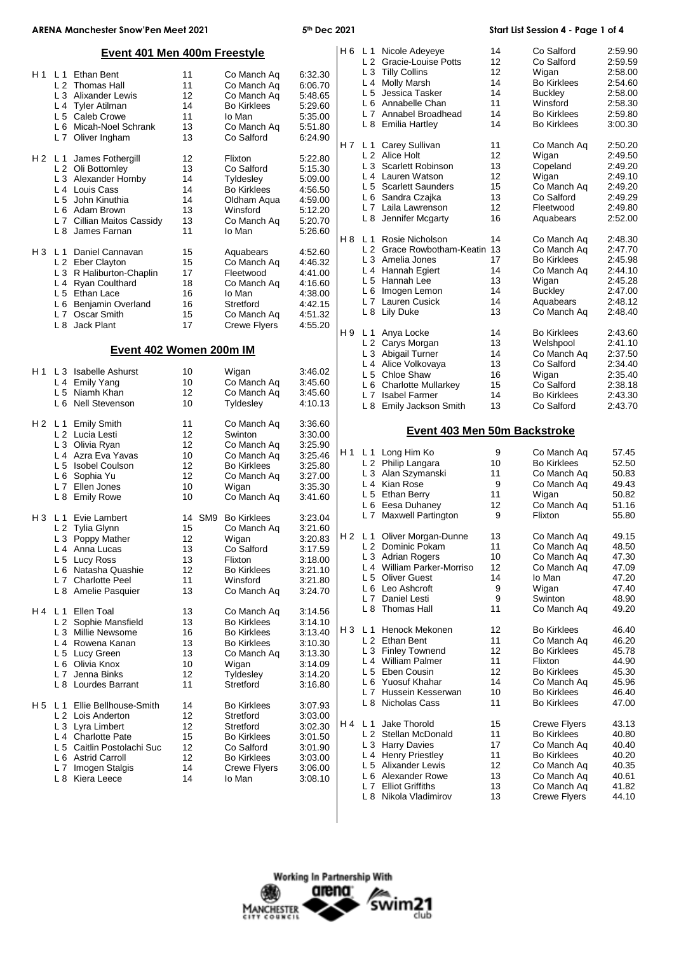|       | <b>ARENA Manchester Snow'Pen Meet 2021</b> |    |                        | 5th Dec 2021 |       |                |                                                  |                   | Start List Session 4 - Page 1 of 4 |                |
|-------|--------------------------------------------|----|------------------------|--------------|-------|----------------|--------------------------------------------------|-------------------|------------------------------------|----------------|
|       | <b>Event 401 Men 400m Freestyle</b>        |    |                        |              |       |                | H 6 L 1 Nicole Adeyeye                           | 14                | Co Salford                         | 2:59.90        |
|       |                                            |    |                        |              |       |                | L 2 Gracie-Louise Potts                          | 12                | Co Salford                         | 2:59.59        |
|       | H <sub>1</sub> L <sub>1</sub> Ethan Bent   | 11 | Co Manch Aq            | 6:32.30      |       |                | L 3 Tilly Collins                                | $12 \overline{ }$ | Wigan                              | 2:58.00        |
|       | L 2 Thomas Hall                            | 11 | Co Manch Aq            | 6:06.70      |       |                | L 4 Molly Marsh                                  | 14                | <b>Bo Kirklees</b>                 | 2:54.60        |
|       | L 3 Alixander Lewis                        | 12 | Co Manch Ag            | 5:48.65      |       |                | L 5 Jessica Tasker                               | 14                | <b>Buckley</b>                     | 2:58.00        |
|       | L 4 Tyler Atilman                          | 14 | <b>Bo Kirklees</b>     | 5:29.60      |       |                | L 6 Annabelle Chan                               | 11                | Winsford                           | 2:58.30        |
|       |                                            | 11 |                        |              |       |                | L 7 Annabel Broadhead                            | 14                | <b>Bo Kirklees</b>                 | 2:59.80        |
|       | L 5 Caleb Crowe                            |    | lo Man                 | 5:35.00      |       |                | L 8 Emilia Hartley                               | 14                | <b>Bo Kirklees</b>                 | 3:00.30        |
|       | L 6 Micah-Noel Schrank                     | 13 | Co Manch Aq            | 5:51.80      |       |                |                                                  |                   |                                    |                |
|       | L 7 Oliver Ingham                          | 13 | Co Salford             | 6:24.90      |       |                |                                                  |                   |                                    |                |
|       |                                            |    |                        |              |       | H7 L1          | Carey Sullivan                                   | 11                | Co Manch Aq                        | 2:50.20        |
|       | James Fothergill<br>H2 L1                  | 12 | Flixton                | 5:22.80      |       |                | L 2 Alice Holt                                   | 12                | Wigan                              | 2:49.50        |
|       | L 2 Oli Bottomley                          | 13 | Co Salford             | 5:15.30      |       |                | L 3 Scarlett Robinson                            | 13                | Copeland                           | 2:49.20        |
|       | L 3 Alexander Hornby                       | 14 | Tyldesley              | 5:09.00      |       |                | L 4 Lauren Watson                                | 12                | Wigan                              | 2:49.10        |
|       | L <sub>4</sub> Louis Cass                  | 14 | <b>Bo Kirklees</b>     | 4:56.50      |       |                | L 5 Scarlett Saunders                            | 15                | Co Manch Ag                        | 2:49.20        |
|       | L 5 John Kinuthia                          | 14 | Oldham Aqua            | 4:59.00      |       |                | L 6 Sandra Czajka                                | 13                | Co Salford                         | 2:49.29        |
|       | L 6 Adam Brown                             | 13 | Winsford               | 5:12.20      |       |                | L 7 Laila Lawrenson                              | 12                | Fleetwood                          | 2:49.80        |
|       | L 7 Cillian Maitos Cassidy                 | 13 | Co Manch Aq            | 5:20.70      |       |                | L 8 Jennifer Mcgarty                             | 16                | Aquabears                          | 2:52.00        |
|       | L 8 James Farnan                           | 11 | lo Man                 | 5:26.60      |       |                |                                                  |                   |                                    |                |
|       |                                            |    |                        |              | H8 L1 |                | Rosie Nicholson                                  | 14                | Co Manch Aq                        | 2:48.30        |
|       | Daniel Cannavan<br>H3 L1                   | 15 | Aquabears              | 4:52.60      |       |                | L <sub>2</sub> Grace Rowbotham-Keatin 13         |                   | Co Manch Ag                        | 2:47.70        |
|       | L 2 Eber Clayton                           |    |                        |              |       |                | L 3 Amelia Jones                                 | 17                | <b>Bo Kirklees</b>                 | 2:45.98        |
|       |                                            | 15 | Co Manch Aq            | 4:46.32      |       |                | L 4 Hannah Egiert                                | 14                | Co Manch Aq                        | 2:44.10        |
|       | L 3 R Haliburton-Chaplin                   | 17 | Fleetwood              | 4:41.00      |       |                | L 5 Hannah Lee                                   | 13                | Wigan                              | 2:45.28        |
|       | L 4 Ryan Coulthard                         | 18 | Co Manch Aq            | 4:16.60      |       |                | L 6 Imogen Lemon                                 | 14                | <b>Buckley</b>                     | 2:47.00        |
|       | L 5 Ethan Lace                             | 16 | lo Man                 | 4:38.00      |       |                | L 7 Lauren Cusick                                | 14                | Aquabears                          | 2:48.12        |
|       | L 6 Benjamin Overland                      | 16 | Stretford              | 4:42.15      |       |                |                                                  |                   |                                    |                |
|       | L 7 Oscar Smith                            | 15 | Co Manch Aq            | 4:51.32      |       |                | L 8 Lily Duke                                    | 13                | Co Manch Aq                        | 2:48.40        |
|       | L 8 Jack Plant                             | 17 | <b>Crewe Flyers</b>    | 4:55.20      |       |                |                                                  |                   |                                    |                |
|       |                                            |    |                        |              |       |                | H9 L1 Anya Locke                                 | 14                | <b>Bo Kirklees</b>                 | 2:43.60        |
|       | Event 402 Women 200m IM                    |    |                        |              |       |                | L 2 Carys Morgan                                 | 13                | Welshpool                          | 2:41.10        |
|       |                                            |    |                        |              |       |                | L 3 Abigail Turner                               | 14                | Co Manch Aq                        | 2:37.50        |
|       |                                            |    |                        |              |       |                | L 4 Alice Volkovaya                              | 13                | Co Salford                         | 2:34.40        |
|       | H1 L3 Isabelle Ashurst                     | 10 | Wigan                  | 3:46.02      |       |                | L 5 Chloe Shaw                                   | 16                | Wigan                              | 2:35.40        |
|       | L 4 Emily Yang                             | 10 | Co Manch Ag            | 3:45.60      |       |                | L 6 Charlotte Mullarkey                          | 15                | Co Salford                         | 2:38.18        |
|       | L 5 Niamh Khan                             | 12 | Co Manch Aq            | 3:45.60      |       | L7             | Isabel Farmer                                    | 14                | <b>Bo Kirklees</b>                 | 2:43.30        |
|       | L 6 Nell Stevenson                         | 10 | Tyldesley              | 4:10.13      |       |                | L 8 Emily Jackson Smith                          | 13                | Co Salford                         | 2:43.70        |
|       |                                            |    |                        |              |       |                |                                                  |                   |                                    |                |
|       |                                            |    |                        |              |       |                |                                                  |                   |                                    |                |
|       | <b>Emily Smith</b><br>H2 L1                | 11 | Co Manch Aq            | 3:36.60      |       |                |                                                  |                   |                                    |                |
|       | L 2 Lucia Lesti                            | 12 | Swinton                | 3:30.00      |       |                | Event 403 Men 50m Backstroke                     |                   |                                    |                |
|       | L 3 Olivia Ryan                            | 12 | Co Manch Aq            | 3:25.90      |       |                |                                                  |                   |                                    |                |
|       | L 4 Azra Eva Yavas                         | 10 | Co Manch Aq            | 3:25.46      |       |                | H1 L1 Long Him Ko                                | 9                 | Co Manch Aq                        | 57.45          |
|       | L 5 Isobel Coulson                         | 12 | <b>Bo Kirklees</b>     | 3:25.80      |       |                | L 2 Philip Langara                               | 10                | <b>Bo Kirklees</b>                 | 52.50          |
|       | L 6 Sophia Yu                              | 12 | Co Manch Aq            | 3:27.00      |       |                | L 3 Alan Szymanski                               | 11                | Co Manch Aq                        | 50.83          |
|       | L 7 Ellen Jones                            | 10 |                        | 3:35.30      |       |                | L 4 Kian Rose                                    | 9                 | Co Manch Aq                        | 49.43          |
|       |                                            |    | Wigan                  |              |       |                | L 5 Ethan Berry                                  | 11                | Wigan                              | 50.82          |
|       | L 8 Emily Rowe                             | 10 | Co Manch Aq            | 3:41.60      |       |                | L 6 Eesa Duhaney                                 | 12                | Co Manch Aq                        | 51.16          |
|       |                                            |    |                        |              |       |                | L 7 Maxwell Partington                           | 9                 | Flixton                            | 55.80          |
|       | H 3 L 1 Evie Lambert                       | 14 | SM9 Bo Kirklees        | 3:23.04      |       |                |                                                  |                   |                                    |                |
|       | L 2 Tylia Glynn                            | 15 | Co Manch Ag            | 3:21.60      |       |                |                                                  |                   |                                    | 49.15          |
|       | L 3 Poppy Mather                           | 12 | Wigan                  | 3:20.83      |       |                | H 2 L 1 Oliver Morgan-Dunne<br>L 2 Dominic Pokam | 13                | Co Manch Aq                        |                |
|       | L <sub>4</sub> Anna Lucas                  | 13 | Co Salford             | 3:17.59      |       |                |                                                  | 11                | Co Manch Aq                        | 48.50          |
|       | L 5 Lucy Ross                              | 13 | Flixton                | 3:18.00      |       |                | L 3 Adrian Rogers                                | 10                | Co Manch Aq                        | 47.30          |
|       | L 6 Natasha Quashie                        | 12 | <b>Bo Kirklees</b>     | 3:21.10      |       |                | L 4 William Parker-Morriso                       | 12                | Co Manch Aq                        | 47.09          |
|       | L 7 Charlotte Peel                         | 11 | Winsford               | 3:21.80      |       | L <sub>5</sub> | <b>Oliver Guest</b>                              | 14                | lo Man                             | 47.20          |
|       | L 8 Amelie Pasquier                        | 13 | Co Manch Aq            | 3:24.70      |       |                | L 6 Leo Ashcroft                                 | 9                 | Wigan                              | 47.40          |
|       |                                            |    |                        |              |       | L7             | Daniel Lesti                                     | 9                 | Swinton                            | 48.90          |
| H4 L1 | Ellen Toal                                 | 13 | Co Manch Ag            | 3:14.56      |       |                | L 8 Thomas Hall                                  | 11                | Co Manch Aq                        | 49.20          |
|       | L 2 Sophie Mansfield                       | 13 | <b>Bo Kirklees</b>     | 3:14.10      |       |                |                                                  |                   |                                    |                |
|       | L 3 Millie Newsome                         | 16 | <b>Bo Kirklees</b>     | 3:13.40      |       |                | H 3 L 1 Henock Mekonen                           | 12                | <b>Bo Kirklees</b>                 | 46.40          |
|       | L <sub>4</sub> Rowena Kanan                | 13 | <b>Bo Kirklees</b>     | 3:10.30      |       |                | L 2 Ethan Bent                                   | 11                | Co Manch Aq                        | 46.20          |
|       |                                            | 13 | Co Manch Aq            | 3:13.30      |       |                | L 3 Finley Townend                               | 12                | <b>Bo Kirklees</b>                 | 45.78          |
|       | L 5 Lucy Green<br>L 6 Olivia Knox          | 10 | Wigan                  | 3:14.09      |       |                | L 4 William Palmer                               | 11                | Flixton                            | 44.90          |
|       | L 7 Jenna Binks                            | 12 |                        |              |       |                | L 5 Eben Cousin                                  | 12                | <b>Bo Kirklees</b>                 | 45.30          |
|       | L 8 Lourdes Barrant                        | 11 | Tyldesley<br>Stretford | 3:14.20      |       |                | L 6 Yuosuf Khahar                                | 14                | Co Manch Aq                        | 45.96          |
|       |                                            |    |                        | 3:16.80      |       |                | L 7 Hussein Kesserwan                            | 10                | <b>Bo Kirklees</b>                 | 46.40          |
|       |                                            |    |                        |              |       |                | L 8 Nicholas Cass                                | 11                | <b>Bo Kirklees</b>                 | 47.00          |
| H5 L1 | Ellie Bellhouse-Smith                      | 14 | <b>Bo Kirklees</b>     | 3:07.93      |       |                |                                                  |                   |                                    |                |
|       | L 2 Lois Anderton                          | 12 | Stretford              | 3:03.00      | H 4   | L 1            | Jake Thorold                                     |                   |                                    |                |
|       | L 3 Lyra Limbert                           | 12 | Stretford              | 3:02.30      |       |                |                                                  | 15                | <b>Crewe Flyers</b>                | 43.13          |
|       | L <sub>4</sub> Charlotte Pate              | 15 | <b>Bo Kirklees</b>     | 3:01.50      |       |                | L 2 Stellan McDonald                             | 11                | <b>Bo Kirklees</b>                 | 40.80          |
|       | L 5 Caitlin Postolachi Suc                 | 12 | Co Salford             | 3:01.90      |       |                | L 3 Harry Davies                                 | 17                | Co Manch Ag                        | 40.40          |
|       | L 6 Astrid Carroll                         | 12 | <b>Bo Kirklees</b>     | 3:03.00      |       |                | L 4 Henry Priestley                              | 11                | <b>Bo Kirklees</b>                 | 40.20          |
|       | Imogen Stalgis<br>L <sub>7</sub>           | 14 | Crewe Flyers           | 3:06.00      |       |                | L 5 Alixander Lewis                              | 12                | Co Manch Aq                        | 40.35          |
|       | L 8 Kiera Leece                            | 14 | lo Man                 | 3:08.10      |       | L 6            | Alexander Rowe                                   | 13                | Co Manch Aq                        | 40.61          |
|       |                                            |    |                        |              |       | L 7            | <b>Elliot Griffiths</b><br>L 8 Nikola Vladimirov | 13<br>13          | Co Manch Aq<br><b>Crewe Flyers</b> | 41.82<br>44.10 |

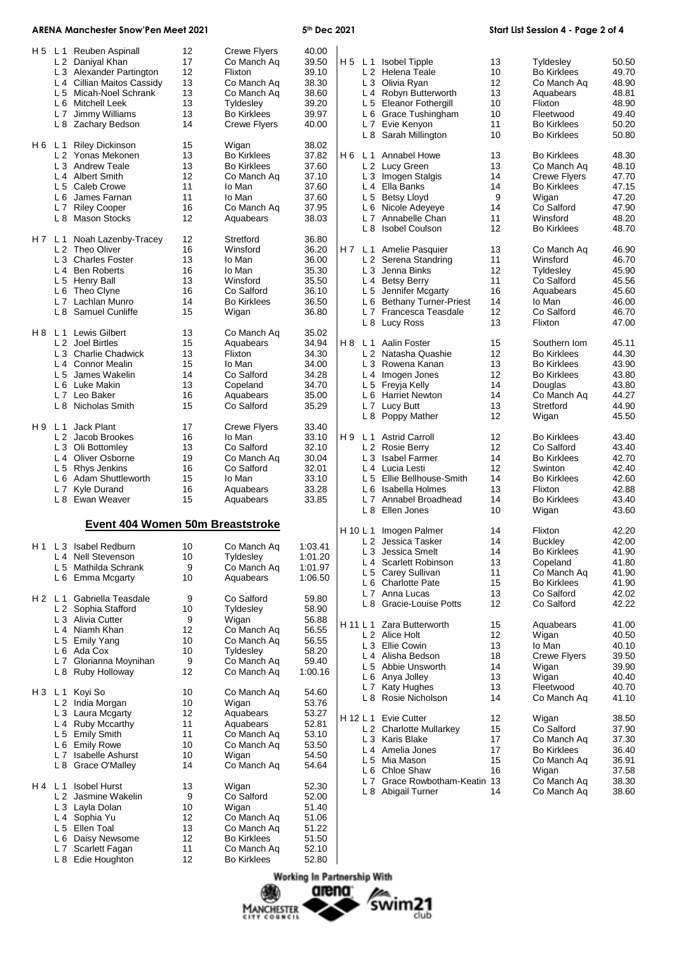## **ARENA Manchester Snow'Pen Meet 2021 5th Dec 2021 Start List Session 4 - Page 2 of 4**

| H 5   | L <sub>1</sub> | Reuben Aspinall                  | 12 | <b>Crewe Flyers</b> | 40.00   |          |                |                               |    |                     |       |
|-------|----------------|----------------------------------|----|---------------------|---------|----------|----------------|-------------------------------|----|---------------------|-------|
|       |                | L 2 Daniyal Khan                 | 17 | Co Manch Aq         | 39.50   |          |                | H 5 L 1 Isobel Tipple         | 13 | Tyldesley           | 50.50 |
|       |                | L 3 Alexander Partington         | 12 | Flixton             | 39.10   |          |                | L 2 Helena Teale              | 10 | <b>Bo Kirklees</b>  | 49.70 |
|       |                |                                  |    |                     |         |          |                |                               |    |                     |       |
|       |                | L 4 Cillian Maitos Cassidy       | 13 | Co Manch Ag         | 38.30   |          |                | L 3 Olivia Ryan               | 12 | Co Manch Aq         | 48.90 |
|       |                | L 5 Micah-Noel Schrank           | 13 | Co Manch Aq         | 38.60   |          |                | L 4 Robyn Butterworth         | 13 | Aquabears           | 48.81 |
|       |                | L 6 Mitchell Leek                | 13 | Tyldesley           | 39.20   |          |                | L 5 Eleanor Fothergill        | 10 | Flixton             | 48.90 |
|       | L <sub>7</sub> | Jimmy Williams                   | 13 | <b>Bo Kirklees</b>  | 39.97   |          | L 6            | <b>Grace Tushingham</b>       | 10 | Fleetwood           | 49.40 |
|       |                | L 8 Zachary Bedson               | 14 | Crewe Flyers        | 40.00   |          |                | L 7 Evie Kenyon               | 11 | <b>Bo Kirklees</b>  | 50.20 |
|       |                |                                  |    |                     |         |          |                | L 8 Sarah Millington          | 10 | <b>Bo Kirklees</b>  | 50.80 |
| H6 L1 |                | <b>Riley Dickinson</b>           | 15 | Wigan               | 38.02   |          |                |                               |    |                     |       |
|       |                | L 2 Yonas Mekonen                | 13 | <b>Bo Kirklees</b>  | 37.82   |          |                | H 6 L 1 Annabel Howe          | 13 | <b>Bo Kirklees</b>  | 48.30 |
|       | L <sub>3</sub> | <b>Andrew Teale</b>              | 13 | <b>Bo Kirklees</b>  | 37.60   |          |                | L 2 Lucy Green                | 13 |                     | 48.10 |
|       |                |                                  |    |                     |         |          |                |                               |    | Co Manch Aq         |       |
|       | $L_4$          | Albert Smith                     | 12 | Co Manch Aq         | 37.10   |          |                | L 3 Imogen Stalgis            | 14 | <b>Crewe Flyers</b> | 47.70 |
|       | L <sub>5</sub> | Caleb Crowe                      | 11 | lo Man              | 37.60   |          |                | L 4 Ella Banks                | 14 | <b>Bo Kirklees</b>  | 47.15 |
|       |                | L 6 James Farnan                 | 11 | lo Man              | 37.60   |          |                | L 5 Betsy Lloyd               | 9  | Wigan               | 47.20 |
|       | L7             | <b>Riley Cooper</b>              | 16 | Co Manch Aq         | 37.95   |          | L 6            | Nicole Adeyeye                | 14 | Co Salford          | 47.90 |
|       |                | L 8 Mason Stocks                 | 12 | Aquabears           | 38.03   |          | L 7            | Annabelle Chan                | 11 | Winsford            | 48.20 |
|       |                |                                  |    |                     |         |          | L 8            | <b>Isobel Coulson</b>         | 12 | <b>Bo Kirklees</b>  | 48.70 |
| H7 L1 |                | Noah Lazenby-Tracey              | 12 | Stretford           | 36.80   |          |                |                               |    |                     |       |
|       | L2             | Theo Oliver                      | 16 | Winsford            | 36.20   | H 7      | L <sub>1</sub> | Amelie Pasquier               | 13 | Co Manch Aq         | 46.90 |
|       |                | L <sub>3</sub> Charles Foster    | 13 | lo Man              | 36.00   |          |                | L 2 Serena Standring          | 11 | Winsford            | 46.70 |
|       |                |                                  |    |                     |         |          |                |                               |    |                     |       |
|       | L <sub>4</sub> | <b>Ben Roberts</b>               | 16 | lo Man              | 35.30   |          |                | L 3 Jenna Binks               | 12 | Tyldesley           | 45.90 |
|       |                | L 5 Henry Ball                   | 13 | Winsford            | 35.50   |          |                | L 4 Betsy Berry               | 11 | Co Salford          | 45.56 |
|       | L 6            | Theo Clyne                       | 16 | Co Salford          | 36.10   |          |                | L 5 Jennifer Mcgarty          | 16 | Aquabears           | 45.60 |
|       | L <sub>7</sub> | Lachlan Munro                    | 14 | <b>Bo Kirklees</b>  | 36.50   |          | L 6            | <b>Bethany Turner-Priest</b>  | 14 | lo Man              | 46.00 |
|       | L 8            | Samuel Cunliffe                  | 15 | Wigan               | 36.80   |          |                | L 7 Francesca Teasdale        | 12 | Co Salford          | 46.70 |
|       |                |                                  |    |                     |         |          |                | L 8 Lucy Ross                 | 13 | Flixton             | 47.00 |
|       |                | H 8 L 1 Lewis Gilbert            | 13 | Co Manch Aq         | 35.02   |          |                |                               |    |                     |       |
|       |                | L 2 Joel Birtles                 | 15 | Aquabears           | 34.94   | H8 L1    |                | Aalin Foster                  | 15 |                     | 45.11 |
|       |                |                                  |    |                     |         |          |                |                               |    | Southern Iom        |       |
|       |                | L 3 Charlie Chadwick             | 13 | Flixton             | 34.30   |          |                | L 2 Natasha Quashie           | 12 | <b>Bo Kirklees</b>  | 44.30 |
|       | L <sub>4</sub> | <b>Connor Mealin</b>             | 15 | lo Man              | 34.00   |          |                | L 3 Rowena Kanan              | 13 | <b>Bo Kirklees</b>  | 43.90 |
|       |                | L 5 James Wakelin                | 14 | Co Salford          | 34.28   |          |                | L 4 Imogen Jones              | 12 | <b>Bo Kirklees</b>  | 43.80 |
|       |                | L 6 Luke Makin                   | 13 | Copeland            | 34.70   |          |                | L 5 Freyja Kelly              | 14 | Douglas             | 43.80 |
|       | L <sub>7</sub> | Leo Baker                        | 16 | Aquabears           | 35.00   |          |                | L 6 Harriet Newton            | 14 | Co Manch Ag         | 44.27 |
|       |                | L 8 Nicholas Smith               | 15 | Co Salford          | 35.29   |          |                | L 7 Lucy Butt                 | 13 | Stretford           | 44.90 |
|       |                |                                  |    |                     |         |          |                | L 8 Poppy Mather              | 12 | Wigan               | 45.50 |
| H 9   | L <sub>1</sub> | Jack Plant                       | 17 | <b>Crewe Flyers</b> | 33.40   |          |                |                               |    |                     |       |
|       |                |                                  |    |                     |         |          |                |                               |    |                     |       |
|       |                | L 2 Jacob Brookes                | 16 | lo Man              | 33.10   | H9 L1    |                | <b>Astrid Carroll</b>         | 12 | <b>Bo Kirklees</b>  | 43.40 |
|       |                | L 3 Oli Bottomley                | 13 | Co Salford          | 32.10   |          | L <sub>2</sub> | <b>Rosie Berry</b>            | 12 | Co Salford          | 43.40 |
|       | L <sub>4</sub> | Oliver Osborne                   | 19 | Co Manch Aq         | 30.04   |          | L <sub>3</sub> | <b>Isabel Farmer</b>          | 14 | <b>Bo Kirklees</b>  | 42.70 |
|       | L <sub>5</sub> | Rhys Jenkins                     | 16 | Co Salford          | 32.01   |          |                | L 4 Lucia Lesti               | 12 | Swinton             | 42.40 |
|       | L <sub>6</sub> | Adam Shuttleworth                | 15 | lo Man              | 33.10   |          | L <sub>5</sub> | Ellie Bellhouse-Smith         | 14 | <b>Bo Kirklees</b>  | 42.60 |
|       | L <sub>7</sub> | Kyle Durand                      | 16 | Aquabears           | 33.28   |          | L 6            | Isabella Holmes               | 13 | Flixton             | 42.88 |
|       | L 8            | Ewan Weaver                      | 15 | Aquabears           | 33.85   |          | L <sub>7</sub> | Annabel Broadhead             | 14 | <b>Bo Kirklees</b>  | 43.40 |
|       |                |                                  |    |                     |         |          |                | L 8 Ellen Jones               | 10 | Wigan               | 43.60 |
|       |                |                                  |    |                     |         |          |                |                               |    |                     |       |
|       |                | Event 404 Women 50m Breaststroke |    |                     |         | H 10 L 1 |                | Imogen Palmer                 | 14 | Flixton             | 42.20 |
|       |                |                                  |    |                     |         |          |                | L 2 Jessica Tasker            | 14 | <b>Buckley</b>      | 42.00 |
|       |                | H1 L3 Isabel Redburn             | 10 | Co Manch Ag         | 1:03.41 |          |                | L 3 Jessica Smelt             | 14 | <b>Bo Kirklees</b>  |       |
|       | L 4            | <b>Nell Stevenson</b>            | 10 | Tyldesley           | 1:01.20 |          |                |                               |    |                     | 41.90 |
|       |                | L 5 Mathilda Schrank             | 9  | Co Manch Aq         | 1:01.97 |          |                | L 4 Scarlett Robinson         | 13 | Copeland            | 41.80 |
|       |                | L 6 Emma Mcgarty                 | 10 | Aquabears           | 1:06.50 |          |                | L 5 Carey Sullivan            | 11 | Co Manch Aq         | 41.90 |
|       |                |                                  |    |                     |         |          | L 6            | <b>Charlotte Pate</b>         | 15 | <b>Bo Kirklees</b>  | 41.90 |
|       |                |                                  |    |                     |         |          |                | L 7 Anna Lucas                | 13 | Co Salford          | 42.02 |
| H2 L1 |                | Gabriella Teasdale               | 9  | Co Salford          | 59.80   |          |                | L 8 Gracie-Louise Potts       | 12 | Co Salford          | 42.22 |
|       | L 2            | Sophia Stafford                  | 10 | Tyldesley           | 58.90   |          |                |                               |    |                     |       |
|       |                | L 3 Alivia Cutter                | 9  | Wigan               | 56.88   |          |                | H 11 L 1 Zara Butterworth     | 15 | Aquabears           | 41.00 |
|       |                | L 4 Niamh Khan                   | 12 | Co Manch Aq         | 56.55   |          |                | L 2 Alice Holt                | 12 | Wigan               | 40.50 |
|       |                | L 5 Emily Yang                   | 10 | Co Manch Ag         | 56.55   |          |                | L 3 Ellie Cowin               | 13 | lo Man              | 40.10 |
|       |                | L 6 Ada Cox                      | 10 | Tyldesley           | 58.20   |          |                |                               |    |                     |       |
|       | L <sub>7</sub> | Glorianna Moynihan               | 9  | Co Manch Aq         | 59.40   |          |                | L 4 Alisha Bedson             | 18 | <b>Crewe Flyers</b> | 39.50 |
|       |                | L 8 Ruby Holloway                | 12 | Co Manch Aq         | 1:00.16 |          |                | L 5 Abbie Unsworth            | 14 | Wigan               | 39.90 |
|       |                |                                  |    |                     |         |          |                | L 6 Anya Jolley               | 13 | Wigan               | 40.40 |
|       |                | H3 L1 Koyi So                    |    | Co Manch Aq         | 54.60   |          |                | L 7 Katy Hughes               | 13 | Fleetwood           | 40.70 |
|       |                |                                  | 10 |                     |         |          |                | L 8 Rosie Nicholson           | 14 | Co Manch Aq         | 41.10 |
|       |                | L 2 India Morgan                 | 10 | Wigan               | 53.76   |          |                |                               |    |                     |       |
|       |                | L 3 Laura Mcgarty                | 12 | Aquabears           | 53.27   | H 12 L 1 |                | Evie Cutter                   | 12 | Wigan               | 38.50 |
|       |                | L 4 Ruby Mccarthy                | 11 | Aquabears           | 52.81   |          |                | L 2 Charlotte Mullarkey       | 15 | Co Salford          | 37.90 |
|       |                | L 5 Emily Smith                  | 11 | Co Manch Aq         | 53.10   |          |                |                               | 17 |                     | 37.30 |
|       |                | L 6 Emily Rowe                   | 10 | Co Manch Aq         | 53.50   |          |                | L 3 Karis Blake               |    | Co Manch Aq         |       |
|       | L <sub>7</sub> | <b>Isabelle Ashurst</b>          | 10 | Wigan               | 54.50   |          |                | L 4 Amelia Jones              | 17 | <b>Bo Kirklees</b>  | 36.40 |
|       | L 8            | Grace O'Malley                   | 14 | Co Manch Aq         | 54.64   |          |                | L 5 Mia Mason                 | 15 | Co Manch Aq         | 36.91 |
|       |                |                                  |    |                     |         |          | L 6            | Chloe Shaw                    | 16 | Wigan               | 37.58 |
|       |                |                                  |    |                     |         |          |                | L 7 Grace Rowbotham-Keatin 13 |    | Co Manch Aq         | 38.30 |
| H4 L1 |                | <b>Isobel Hurst</b>              | 13 | Wigan               | 52.30   |          |                | L 8 Abigail Turner            | 14 | Co Manch Aq         | 38.60 |
|       |                | L 2 Jasmine Wakelin              | 9  | Co Salford          | 52.00   |          |                |                               |    |                     |       |
|       |                | L 3 Layla Dolan                  | 10 | Wigan               | 51.40   |          |                |                               |    |                     |       |
|       | L <sub>4</sub> | Sophia Yu                        | 12 | Co Manch Aq         | 51.06   |          |                |                               |    |                     |       |
|       |                | L 5 Ellen Toal                   | 13 | Co Manch Aq         | 51.22   |          |                |                               |    |                     |       |
|       | L 6            | Daisy Newsome                    | 12 | <b>Bo Kirklees</b>  | 51.50   |          |                |                               |    |                     |       |
|       | L <sub>7</sub> | Scarlett Fagan                   | 11 | Co Manch Aq         | 52.10   |          |                |                               |    |                     |       |
|       |                | L 8 Edie Houghton                | 12 | <b>Bo Kirklees</b>  | 52.80   |          |                |                               |    |                     |       |
|       |                |                                  |    |                     |         |          |                |                               |    |                     |       |

Working In Partnership With

swim21

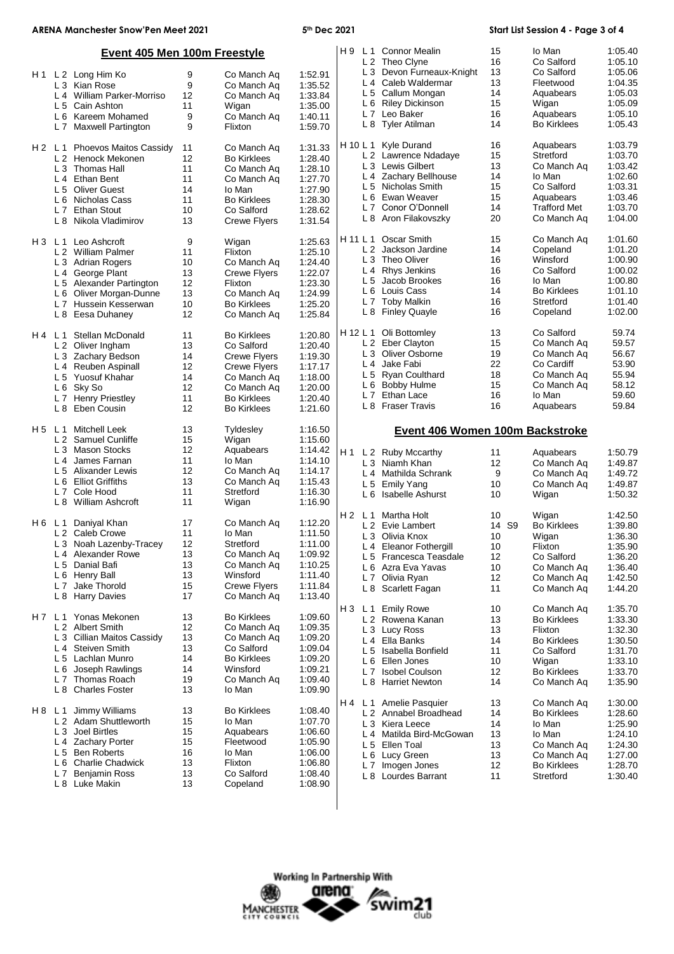| <b>ARENA Manchester Snow'Pen Meet 2021</b> |                                                          |          | 5th Dec 2021                |                    |                       | Start List Session 4 - Page 3 of 4      |          |                      |                    |
|--------------------------------------------|----------------------------------------------------------|----------|-----------------------------|--------------------|-----------------------|-----------------------------------------|----------|----------------------|--------------------|
|                                            | Event 405 Men 100m Freestyle                             |          |                             |                    |                       | H 9 L 1 Connor Mealin<br>L 2 Theo Clyne | 15<br>16 | Io Man<br>Co Salford | 1:05.40<br>1:05.10 |
|                                            | H1 L2 Long Him Ko                                        | 9        | Co Manch Ag                 | 1:52.91            |                       | L 3 Devon Furneaux-Knight               | 13       | Co Salford           | 1:05.06            |
|                                            | L 3 Kian Rose                                            | 9        | Co Manch Aq                 | 1:35.52            |                       | L 4 Caleb Waldermar                     | 13       | Fleetwood            | 1:04.35            |
|                                            | L 4 William Parker-Morriso                               | 12       | Co Manch Aq                 | 1:33.84            |                       | L 5 Callum Mongan                       | 14       | Aquabears            | 1:05.03            |
|                                            | L 5 Cain Ashton                                          | 11       | Wigan                       | 1:35.00            |                       | L 6 Riley Dickinson                     | 15       | Wigan                | 1:05.09            |
|                                            | L 6 Kareem Mohamed                                       | 9        | Co Manch Aq                 | 1:40.11            |                       | L 7 Leo Baker                           | 16       | Aquabears            | 1:05.10            |
|                                            | L 7 Maxwell Partington                                   | 9        | Flixton                     | 1:59.70            |                       | L 8 Tyler Atilman                       | 14       | <b>Bo Kirklees</b>   | 1:05.43            |
| H2 L1                                      | Phoevos Maitos Cassidy                                   | 11       | Co Manch Aq                 | 1:31.33            |                       | H 10 L 1 Kyle Durand                    | 16       | Aquabears            | 1:03.79            |
|                                            | L 2 Henock Mekonen                                       | 12       | <b>Bo Kirklees</b>          | 1:28.40            |                       | L 2 Lawrence Ndadaye                    | 15       | Stretford            | 1:03.70            |
|                                            | L 3 Thomas Hall                                          | 11       | Co Manch Aq                 | 1:28.10            |                       | L 3 Lewis Gilbert                       | 13       | Co Manch Aq          | 1:03.42            |
|                                            | L 4 Ethan Bent                                           | 11       | Co Manch Aq                 | 1:27.70            |                       | L 4 Zachary Bellhouse                   | 14       | lo Man               | 1:02.60            |
|                                            | L 5 Oliver Guest                                         | 14       | lo Man                      | 1:27.90            |                       | L 5 Nicholas Smith                      | 15       | Co Salford           | 1:03.31            |
|                                            | L 6 Nicholas Cass                                        | 11       | <b>Bo Kirklees</b>          | 1:28.30            |                       | L 6 Ewan Weaver                         | 15       | Aquabears            | 1:03.46            |
|                                            | L 7 Ethan Stout                                          | 10       | Co Salford                  | 1:28.62            |                       | L 7 Conor O'Donnell                     | 14       | <b>Trafford Met</b>  | 1:03.70            |
|                                            | L 8 Nikola Vladimirov                                    | 13       | <b>Crewe Flyers</b>         | 1:31.54            |                       | L 8 Aron Filakovszky                    | 20       | Co Manch Aq          | 1:04.00            |
| H3 L1                                      | Leo Ashcroft                                             | 9        | Wigan                       | 1:25.63            | H 11 L 1              | Oscar Smith                             | 15       | Co Manch Aq          | 1:01.60            |
|                                            | L 2 William Palmer                                       | 11       | Flixton                     | 1:25.10            |                       | L 2 Jackson Jardine                     | 14       | Copeland             | 1:01.20            |
|                                            | L 3 Adrian Rogers                                        | 10       | Co Manch Aq                 | 1:24.40            |                       | L 3 Theo Oliver                         | 16       | Winsford             | 1:00.90            |
|                                            | L 4 George Plant                                         | 13       | Crewe Flyers                | 1:22.07            |                       | L 4 Rhys Jenkins                        | 16       | Co Salford           | 1:00.02            |
|                                            | L 5 Alexander Partington                                 | 12       | Flixton                     | 1:23.30            | L <sub>5</sub>        | Jacob Brookes                           | 16       | lo Man               | 1:00.80            |
|                                            | L 6 Oliver Morgan-Dunne                                  | 13       | Co Manch Aq                 | 1:24.99            |                       | L 6 Louis Cass                          | 14       | <b>Bo Kirklees</b>   | 1:01.10            |
|                                            | L 7 Hussein Kesserwan                                    | 10       | <b>Bo Kirklees</b>          | 1:25.20            |                       | L 7 Toby Malkin                         | 16       | Stretford            | 1:01.40            |
|                                            | L 8 Eesa Duhaney                                         | 12       | Co Manch Aq                 | 1:25.84            |                       | L 8 Finley Quayle                       | 16       | Copeland             | 1:02.00            |
| H4 L1                                      | Stellan McDonald                                         | 11       | <b>Bo Kirklees</b>          | 1:20.80            |                       | H 12 L 1 Oli Bottomley                  | 13       | Co Salford           | 59.74              |
|                                            | L 2 Oliver Ingham                                        | 13       | Co Salford                  | 1:20.40            |                       | L 2 Eber Clayton                        | 15       | Co Manch Aq          | 59.57              |
|                                            | L 3 Zachary Bedson                                       | 14       | <b>Crewe Flyers</b>         | 1:19.30            |                       | L 3 Oliver Osborne                      | 19       | Co Manch Aq          | 56.67              |
|                                            | L 4 Reuben Aspinall                                      | 12       | <b>Crewe Flyers</b>         | 1:17.17            |                       | L 4 Jake Fabi                           | 22       | Co Cardiff           | 53.90              |
|                                            | L 5 Yuosuf Khahar                                        | 14       | Co Manch Aq                 | 1:18.00            |                       | L 5 Ryan Coulthard                      | 18       | Co Manch Aq          | 55.94              |
|                                            | L 6 Sky So                                               | 12       | Co Manch Aq                 | 1:20.00            |                       | L 6 Bobby Hulme                         | 15       | Co Manch Aq          | 58.12              |
|                                            | L 7 Henry Priestley                                      | 11       | <b>Bo Kirklees</b>          | 1:20.40            |                       | L 7 Ethan Lace                          | 16       | lo Man               | 59.60<br>59.84     |
|                                            | L 8 Eben Cousin                                          | 12       | <b>Bo Kirklees</b>          | 1:21.60            |                       | L 8 Fraser Travis                       | 16       | Aquabears            |                    |
| H5 L1                                      | <b>Mitchell Leek</b>                                     | 13       | Tyldesley                   | 1:16.50            |                       | Event 406 Women 100m Backstroke         |          |                      |                    |
|                                            | L 2 Samuel Cunliffe                                      | 15<br>12 | Wigan                       | 1:15.60            |                       |                                         |          |                      |                    |
|                                            | L 3 Mason Stocks                                         |          | Aquabears                   | 1:14.42            | H1                    | L 2 Ruby Mccarthy                       | 11       | Aquabears            | 1:50.79            |
|                                            |                                                          |          |                             | 1:14.10            |                       | L 3 Niamh Khan                          |          |                      | 1:49.87            |
|                                            | L 4 James Farnan                                         | 11       | lo Man                      |                    |                       |                                         | 12       | Co Manch Aq          |                    |
|                                            | L 5 Alixander Lewis                                      | 12       | Co Manch Aq                 | 1:14.17            |                       | L 4 Mathilda Schrank                    | 9        | Co Manch Ag          | 1:49.72            |
|                                            | L 6 Elliot Griffiths                                     | 13       | Co Manch Ag                 | 1:15.43            | L <sub>5</sub>        | <b>Emily Yang</b>                       | 10       | Co Manch Aq          | 1:49.87            |
|                                            | L7<br>Cole Hood<br>L 8 William Ashcroft                  | 11<br>11 | Stretford<br>Wigan          | 1:16.30<br>1:16.90 |                       | L 6 Isabelle Ashurst                    | 10       | Wigan                | 1:50.32            |
|                                            |                                                          |          |                             |                    | H2 L1                 | Martha Holt                             | 10       | Wigan                | 1:42.50            |
|                                            | H 6 L 1 Daniyal Khan                                     | 17       | Co Manch Aq                 | 1:12.20            |                       | L 2 Evie Lambert                        | 14 S9    | <b>Bo Kirklees</b>   | 1:39.80            |
|                                            | L 2 Caleb Crowe                                          | 11       | io Man                      | 1:11.50            |                       | L 3 Olivia Knox                         | 10       | Wigan                | 1:36.30            |
|                                            | L 3 Noah Lazenby-Tracey                                  | 12       | Stretford                   | 1:11.00            |                       | L 4 Eleanor Fothergill                  | 10       | Flixton              | 1:35.90            |
|                                            | L <sub>4</sub> Alexander Rowe                            | 13       | Co Manch Aq                 | 1:09.92            |                       | L 5 Francesca Teasdale                  | 12       | Co Salford           | 1:36.20            |
|                                            | L 5 Danial Bafi                                          | 13       | Co Manch Ag                 | 1:10.25            |                       | L 6 Azra Eva Yavas                      | 10       | Co Manch Aq          | 1:36.40            |
|                                            | L 6 Henry Ball                                           | 13       | Winsford                    | 1:11.40            |                       | L 7 Olivia Ryan                         | 12       | Co Manch Aq          | 1:42.50            |
|                                            | Jake Thorold<br>L <sub>7</sub><br>L 8 Harry Davies       | 15<br>17 | Crewe Flyers<br>Co Manch Aq | 1:11.84<br>1:13.40 |                       | L 8 Scarlett Fagan                      | 11       | Co Manch Aq          | 1:44.20            |
|                                            |                                                          |          |                             |                    | H <sub>3</sub>        | L 1 Emily Rowe                          | 10       | Co Manch Aq          | 1:35.70            |
|                                            | H 7 L 1 Yonas Mekonen                                    | 13       | <b>Bo Kirklees</b>          | 1:09.60            |                       | L 2 Rowena Kanan                        | 13       | <b>Bo Kirklees</b>   | 1:33.30            |
|                                            | L 2 Albert Smith                                         | 12       | Co Manch Aq                 | 1:09.35            |                       | L 3 Lucy Ross                           | 13       | Flixton              | 1:32.30            |
|                                            | L 3 Cillian Maitos Cassidy                               | 13       | Co Manch Aq                 | 1:09.20            |                       | L 4 Ella Banks                          | 14       | <b>Bo Kirklees</b>   | 1:30.50            |
|                                            | L 4 Steiven Smith                                        | 13       | Co Salford                  | 1:09.04            |                       | L 5 Isabella Bonfield                   | 11       | Co Salford           | 1:31.70            |
|                                            | L 5 Lachlan Munro                                        | 14       | <b>Bo Kirklees</b>          | 1:09.20            | $L_6$                 | Ellen Jones                             | 10       | Wigan                | 1:33.10            |
|                                            | Joseph Rawlings<br>L 6                                   | 14       | Winsford                    | 1:09.21            |                       | L 7 Isobel Coulson                      | 12       | <b>Bo Kirklees</b>   | 1:33.70            |
|                                            | L 7 Thomas Roach<br>L 8<br><b>Charles Foster</b>         | 19<br>13 | Co Manch Aq<br>lo Man       | 1:09.40<br>1:09.90 |                       | L 8 Harriet Newton                      | 14       | Co Manch Aq          | 1:35.90            |
|                                            |                                                          |          |                             |                    | L <sub>1</sub><br>H 4 | Amelie Pasquier                         | 13       | Co Manch Aq          | 1:30.00            |
| H 8                                        | Jimmy Williams<br>L <sub>1</sub>                         | 13       | <b>Bo Kirklees</b>          | 1:08.40            |                       | L 2 Annabel Broadhead                   | 14       | <b>Bo Kirklees</b>   | 1:28.60            |
|                                            | L 2 Adam Shuttleworth                                    | 15       | lo Man                      | 1:07.70            |                       | L 3 Kiera Leece                         | 14       | lo Man               | 1:25.90            |
|                                            | L 3 Joel Birtles                                         | 15       | Aquabears                   | 1:06.60            |                       | L 4 Matilda Bird-McGowan                | 13       | lo Man               | 1:24.10            |
|                                            | L 4 Zachary Porter                                       | 15       | Fleetwood                   | 1:05.90            |                       | L 5 Ellen Toal                          | 13       | Co Manch Aq          | 1:24.30            |
|                                            | L 5 Ben Roberts                                          | 16       | lo Man                      | 1:06.00            |                       | L 6 Lucy Green                          | 13       | Co Manch Aq          | 1:27.00            |
|                                            | <b>Charlie Chadwick</b><br>L 6                           | 13       | Flixton                     | 1:06.80            |                       | L 7 Imogen Jones                        | 12       | <b>Bo Kirklees</b>   | 1:28.70            |
|                                            | <b>Benjamin Ross</b><br>L <sub>7</sub><br>L 8 Luke Makin | 13<br>13 | Co Salford<br>Copeland      | 1:08.40<br>1:08.90 |                       | L 8 Lourdes Barrant                     | 11       | Stretford            | 1:30.40            |



 $\overline{\phantom{a}}$